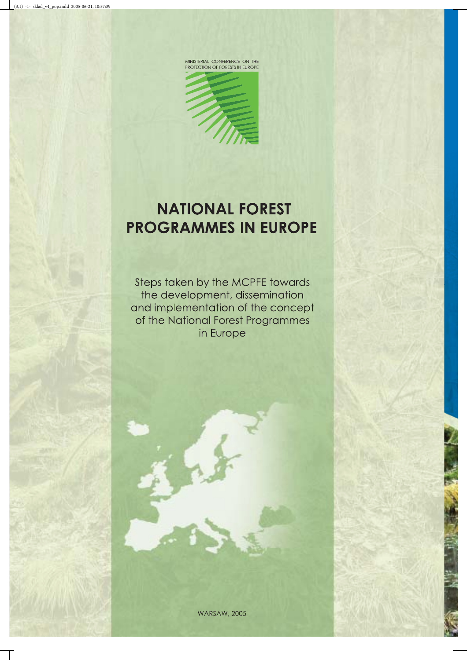

MINISTERIAL CONFERENCE ON THE<br>PROTECTION OF FORESTS IN EUROPE

## **NATIONAL FOREST PROGRAMMES IN EUROPE**

Steps taken by the MCPFE towards the development, dissemination and implementation of the concept of the National Forest Programmes in Europe

**WARSAW, 2005**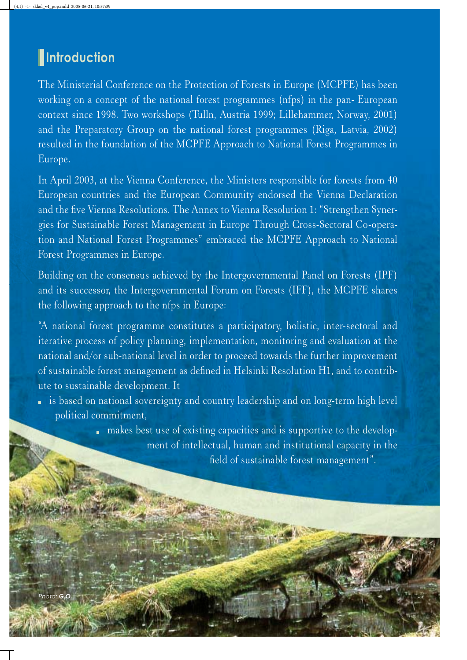# **Introduction**

The Ministerial Conference on the Protection of Forests in Europe (MCPFE) has been working on a concept of the national forest programmes (nfps) in the pan-European context since 1998. Two workshops (Tulln, Austria 1999; Lillehammer, Norway, 2001) and the Preparatory Group on the national forest programmes (Riga, Latvia, 2002) resulted in the foundation of the MCPFE Approach to National Forest Programmes in Europe.

In April 2003, at the Vienna Conference, the Ministers responsible for forests from 40 European countries and the European Community endorsed the Vienna Declaration and the five Vienna Resolutions. The Annex to Vienna Resolution 1: "Strengthen Synergies for Sustainable Forest Management in Europe Through Cross-Sectoral Co-operation and National Forest Programmes" embraced the MCPFE Approach to National Forest Programmes in Europe.

Building on the consensus achieved by the Intergovernmental Panel on Forests (IPF) and its successor, the Intergovernmental Forum on Forests (IFF), the MCPFE shares the following approach to the nfps in Europe:

"A national forest programme constitutes a participatory, holistic, inter-sectoral and iterative process of policy planning, implementation, monitoring and evaluation at the national and/or sub-national level in order to proceed towards the further improvement of sustainable forest management as defined in Helsinki Resolution H1, and to contribute to sustainable development. It

 is based on national sovereignty and country leadership and on long-term high level political commitment,

> makes best use of existing capacities and is supportive to the development of intellectual, human and institutional capacity in the field of sustainable forest management".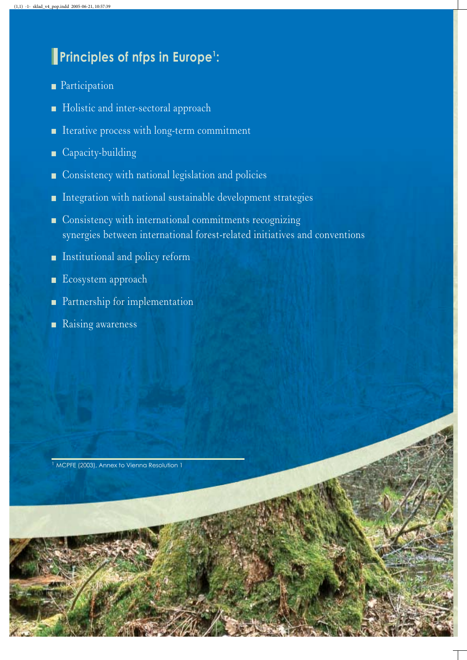## **Principles of nfps in Europe<sup>1</sup> :**

- **Participation**
- Holistic and inter-sectoral approach
- **I** Iterative process with long-term commitment
- Capacity-building
- Consistency with national legislation and policies
- **Integration with national sustainable development strategies**
- Consistency with international commitments recognizing synergies between international forest-related initiatives and conventions
- **Institutional and policy reform**
- Ecosystem approach
- **Partnership for implementation**
- Raising awareness

<sup>1</sup> MCPFE (2003), Annex to Vienna Resolution 1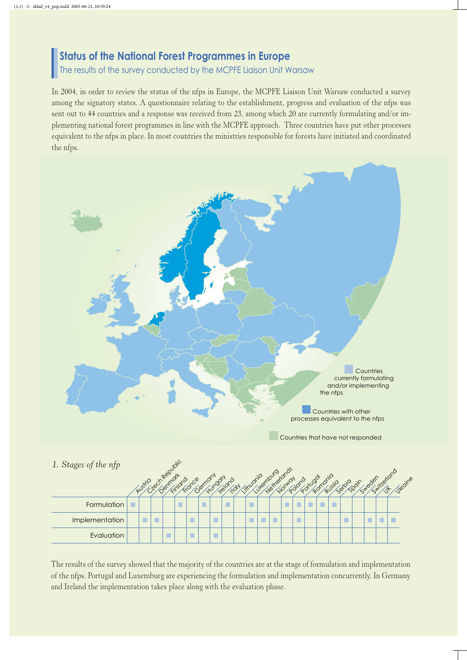## **Status of the National Forest Programmes in Europe**

The results of the survey conducted by the MCPFE Liaison Unit Warsaw

In 2004, in order to review the status of the nfps in Europe, the MCPFE Liaison Unit Warsaw conducted a survey among the signatory states. A questionnaire relating to the establishment, progress and evaluation of the nfps was sent out to 44 countries and a response was received from 23, among which 20 are currently formulating and/or implementing national forest programmes in line with the MCPFE approach. Three countries have put other processes equivalent to the nfps in place. In most countries the ministries responsible for forests have initiated and coordinated the nfps.



Countries that have not responded

| 1. Stages of the nfp |        |        | Republic |         |        |        |        |        |              |  | Luternburg | Netherlands |        |               |   |             |  | Syleder, iterators |  |
|----------------------|--------|--------|----------|---------|--------|--------|--------|--------|--------------|--|------------|-------------|--------|---------------|---|-------------|--|--------------------|--|
|                      | AUSTIO | $-180$ | Denmont  | Findono | Fronce | Cermon | Hungon | Teland | individualid |  |            | Norworl     | Poiono | Portugal drio |   | Russic Coin |  | Jr Judine          |  |
| Formulation          |        |        |          |         |        | n      |        | Г      |              |  |            |             |        | г             | г |             |  |                    |  |
| Implementation       | П      |        |          |         |        |        |        |        |              |  | П          |             |        |               |   |             |  |                    |  |
| Evaluation           |        |        | П        |         |        |        |        |        |              |  |            |             |        |               |   |             |  |                    |  |

The results of the survey showed that the majority of the countries are at the stage of formulation and implementation of the nfps. Portugal and Luxemburg are experiencing the formulation and implementation concurrently. In Germany and Ireland the implementation takes place along with the evaluation phase.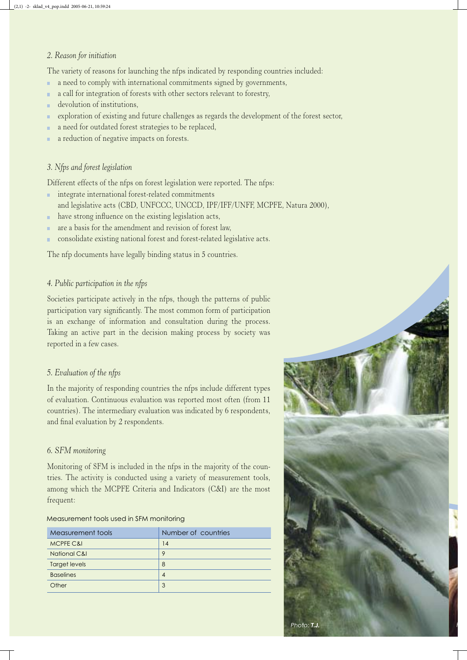#### *2. Reason for initiation*

The variety of reasons for launching the nfps indicated by responding countries included:

- a need to comply with international commitments signed by governments, ċ
- a call for integration of forests with other sectors relevant to forestry, Ė
- devolution of institutions, ŕ
- exploration of existing and future challenges as regards the development of the forest sector, ŕ
- a need for outdated forest strategies to be replaced, ċ
- a reduction of negative impacts on forests. ŕ

#### *3. Nfps and forest legislation*

Different effects of the nfps on forest legislation were reported. The nfps:

- **integrate international forest-related commitments** and legislative acts (CBD, UNFCCC, UNCCD, IPF/IFF/UNFF, MCPFE, Natura 2000),
- have strong influence on the existing legislation acts,
- are a basis for the amendment and revision of forest law, ŕ
- consolidate existing national forest and forest-related legislative acts.

The nfp documents have legally binding status in 5 countries.

#### *4. Public participation in the nfps*

Societies participate actively in the nfps, though the patterns of public participation vary significantly. The most common form of participation is an exchange of information and consultation during the process. Taking an active part in the decision making process by society was reported in a few cases.

#### *5. Evaluation of the nfps*

In the majority of responding countries the nfps include different types of evaluation. Continuous evaluation was reported most often (from 11 countries). The intermediary evaluation was indicated by 6 respondents, and final evaluation by 2 respondents.

#### *6. SFM monitoring*

Monitoring of SFM is included in the nfps in the majority of the countries. The activity is conducted using a variety of measurement tools, among which the MCPFE Criteria and Indicators (C&I) are the most frequent:

#### Measurement tools used in SFM monitoring

| Measurement tools       | Number of countries |  |  |  |  |  |  |  |
|-------------------------|---------------------|--|--|--|--|--|--|--|
| MCPFE C&I               | 14                  |  |  |  |  |  |  |  |
| <b>National C&amp;I</b> | 9                   |  |  |  |  |  |  |  |
| <b>Target levels</b>    | 8                   |  |  |  |  |  |  |  |
| <b>Baselines</b>        | $\overline{A}$      |  |  |  |  |  |  |  |
| Other                   | 3                   |  |  |  |  |  |  |  |

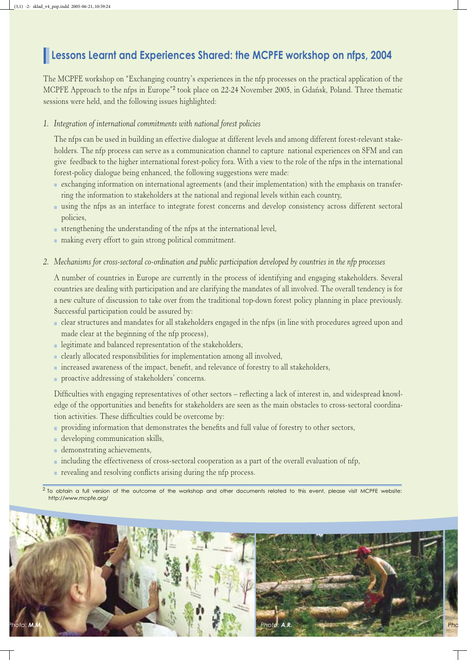### **Lessons Learnt and Experiences Shared: the MCPFE workshop on nfps, 2004**

The MCPFE workshop on "Exchanging country's experiences in the nfp processes on the practical application of the MCPFE Approach to the nfps in Europe"<sup>2</sup> took place on 22-24 November 2005, in Gdańsk, Poland. Three thematic sessions were held, and the following issues highlighted:

*1. Integration of international commitments with national forest policies* 

 The nfps can be used in building an effective dialogue at different levels and among different forest-relevant stakeholders. The nfp process can serve as a communication channel to capture national experiences on SFM and can give feedback to the higher international forest-policy fora. With a view to the role of the nfps in the international forest-policy dialogue being enhanced, the following suggestions were made:

- exchanging information on international agreements (and their implementation) with the emphasis on transferring the information to stakeholders at the national and regional levels within each country,
- using the nfps as an interface to integrate forest concerns and develop consistency across different sectoral policies,
- $\blacksquare$  strengthening the understanding of the nfps at the international level,
- making every effort to gain strong political commitment.
- *2. Mechanisms for cross-sectoral co-ordination and public participation developed by countries in the nfp processes*

 A number of countries in Europe are currently in the process of identifying and engaging stakeholders. Several countries are dealing with participation and are clarifying the mandates of all involved. The overall tendency is for a new culture of discussion to take over from the traditional top-down forest policy planning in place previously. Successful participation could be assured by:

- clear structures and mandates for all stakeholders engaged in the nfps (in line with procedures agreed upon and made clear at the beginning of the nfp process),
- **Exercise 1** legitimate and balanced representation of the stakeholders,
- clearly allocated responsibilities for implementation among all involved,
- increased awareness of the impact, benefit, and relevance of forestry to all stakeholders,
- **proactive addressing of stakeholders' concerns.**

 Difficulties with engaging representatives of other sectors – reflecting a lack of interest in, and widespread knowledge of the opportunities and benefits for stakeholders are seen as the main obstacles to cross-sectoral coordination activities. These difficulties could be overcome by:

- **providing information that demonstrates the benefits and full value of forestry to other sectors,**
- developing communication skills,
- **demonstrating achievements,**
- including the effectiveness of cross-sectoral cooperation as a part of the overall evaluation of nfp,
- revealing and resolving conflicts arising during the nfp process.

 $2$  To obtain a full version of the outcome of the workshop and other documents related to this event, please visit MCPFE website: http://www.mcpfe.org/

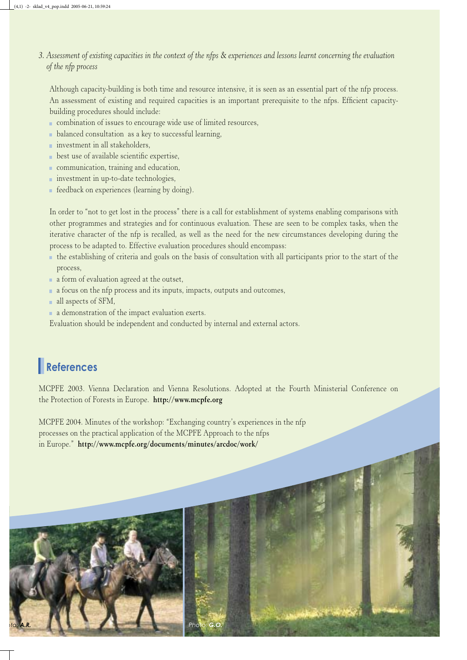#### *3. Assessment of existing capacities in the context of the nfps* & *experiences and lessons learnt concerning the evaluation of the nfp process*

 Although capacity-building is both time and resource intensive, it is seen as an essential part of the nfp process. An assessment of existing and required capacities is an important prerequisite to the nfps. Efficient capacitybuilding procedures should include:

- combination of issues to encourage wide use of limited resources,
- balanced consultation as a key to successful learning,
- **investment** in all stakeholders,
- **best use of available scientific expertise,**
- communication, training and education,
- **investment** in up-to-date technologies,
- feedback on experiences (learning by doing).

 In order to "not to get lost in the process" there is a call for establishment of systems enabling comparisons with other programmes and strategies and for continuous evaluation. These are seen to be complex tasks, when the iterative character of the nfp is recalled, as well as the need for the new circumstances developing during the process to be adapted to. Effective evaluation procedures should encompass:

- the establishing of criteria and goals on the basis of consultation with all participants prior to the start of the process,
- a form of evaluation agreed at the outset,

*oto: A.R. Photo: G.O.*

- a focus on the nfp process and its inputs, impacts, outputs and outcomes,
- all aspects of SFM,
- a demonstration of the impact evaluation exerts.

Evaluation should be independent and conducted by internal and external actors.

## **References**

MCPFE 2003. Vienna Declaration and Vienna Resolutions. Adopted at the Fourth Ministerial Conference on the Protection of Forests in Europe. **http://www.mcpfe.org**

MCPFE 2004. Minutes of the workshop: "Exchanging country's experiences in the nfp processes on the practical application of the MCPFE Approach to the nfps in Europe." **http://www.mcpfe.org/documents/minutes/arcdoc/work/**